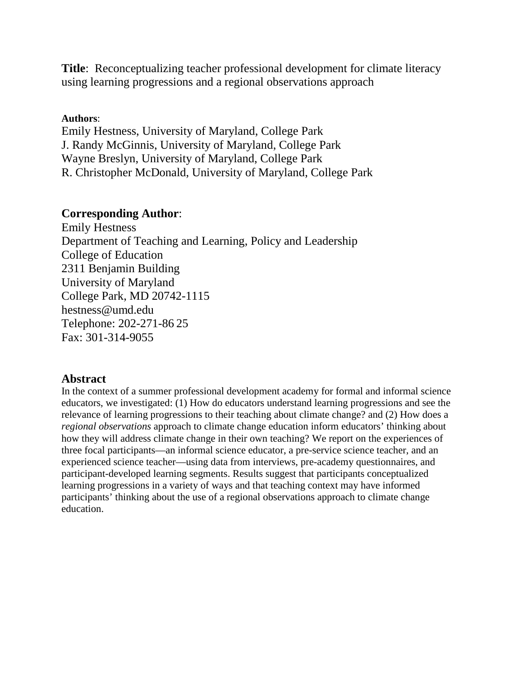**Title**: Reconceptualizing teacher professional development for climate literacy using learning progressions and a regional observations approach

## **Authors**:

Emily Hestness, University of Maryland, College Park J. Randy McGinnis, University of Maryland, College Park Wayne Breslyn, University of Maryland, College Park R. Christopher McDonald, University of Maryland, College Park

# **Corresponding Author**:

Emily Hestness Department of Teaching and Learning, Policy and Leadership College of Education 2311 Benjamin Building University of Maryland College Park, MD 20742-1115 hestness@umd.edu Telephone: 202-271-86 25 Fax: 301-314-9055

# **Abstract**

In the context of a summer professional development academy for formal and informal science educators, we investigated: (1) How do educators understand learning progressions and see the relevance of learning progressions to their teaching about climate change? and (2) How does a *regional observations* approach to climate change education inform educators' thinking about how they will address climate change in their own teaching? We report on the experiences of three focal participants—an informal science educator, a pre-service science teacher, and an experienced science teacher—using data from interviews, pre-academy questionnaires, and participant-developed learning segments. Results suggest that participants conceptualized learning progressions in a variety of ways and that teaching context may have informed participants' thinking about the use of a regional observations approach to climate change education.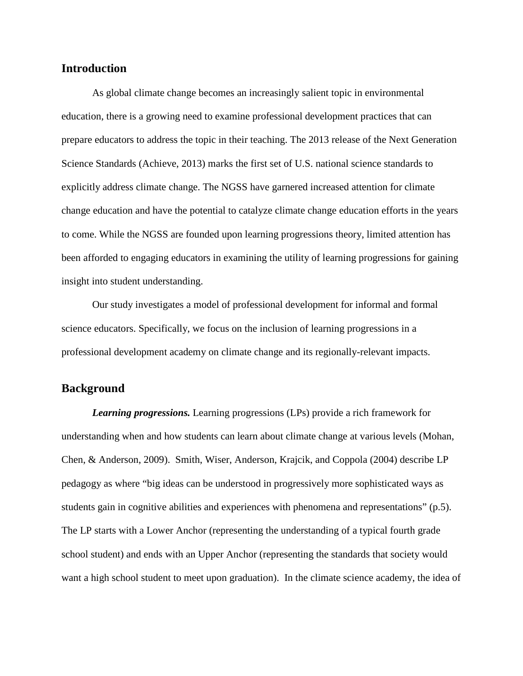## **Introduction**

As global climate change becomes an increasingly salient topic in environmental education, there is a growing need to examine professional development practices that can prepare educators to address the topic in their teaching. The 2013 release of the Next Generation Science Standards (Achieve, 2013) marks the first set of U.S. national science standards to explicitly address climate change. The NGSS have garnered increased attention for climate change education and have the potential to catalyze climate change education efforts in the years to come. While the NGSS are founded upon learning progressions theory, limited attention has been afforded to engaging educators in examining the utility of learning progressions for gaining insight into student understanding.

Our study investigates a model of professional development for informal and formal science educators. Specifically, we focus on the inclusion of learning progressions in a professional development academy on climate change and its regionally-relevant impacts.

#### **Background**

*Learning progressions.* Learning progressions (LPs) provide a rich framework for understanding when and how students can learn about climate change at various levels (Mohan, Chen, & Anderson, 2009). Smith, Wiser, Anderson, Krajcik, and Coppola (2004) describe LP pedagogy as where "big ideas can be understood in progressively more sophisticated ways as students gain in cognitive abilities and experiences with phenomena and representations" (p.5). The LP starts with a Lower Anchor (representing the understanding of a typical fourth grade school student) and ends with an Upper Anchor (representing the standards that society would want a high school student to meet upon graduation). In the climate science academy, the idea of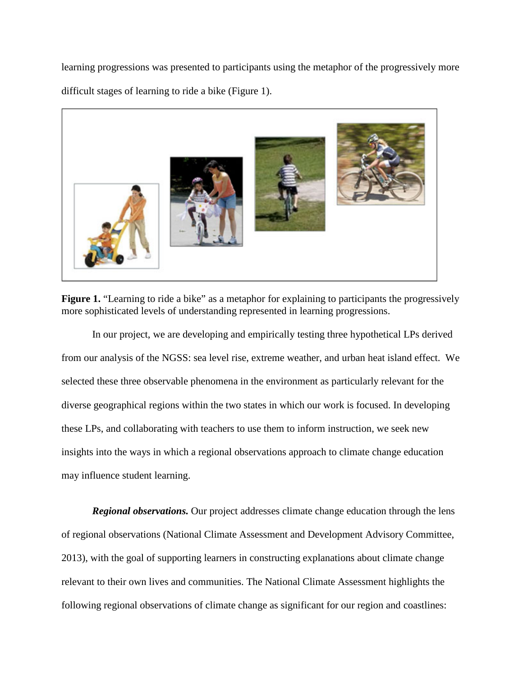learning progressions was presented to participants using the metaphor of the progressively more difficult stages of learning to ride a bike (Figure 1).



Figure 1. "Learning to ride a bike" as a metaphor for explaining to participants the progressively more sophisticated levels of understanding represented in learning progressions.

In our project, we are developing and empirically testing three hypothetical LPs derived from our analysis of the NGSS: sea level rise, extreme weather, and urban heat island effect. We selected these three observable phenomena in the environment as particularly relevant for the diverse geographical regions within the two states in which our work is focused. In developing these LPs, and collaborating with teachers to use them to inform instruction, we seek new insights into the ways in which a regional observations approach to climate change education may influence student learning.

*Regional observations.* Our project addresses climate change education through the lens of regional observations (National Climate Assessment and Development Advisory Committee, 2013), with the goal of supporting learners in constructing explanations about climate change relevant to their own lives and communities. The National Climate Assessment highlights the following regional observations of climate change as significant for our region and coastlines: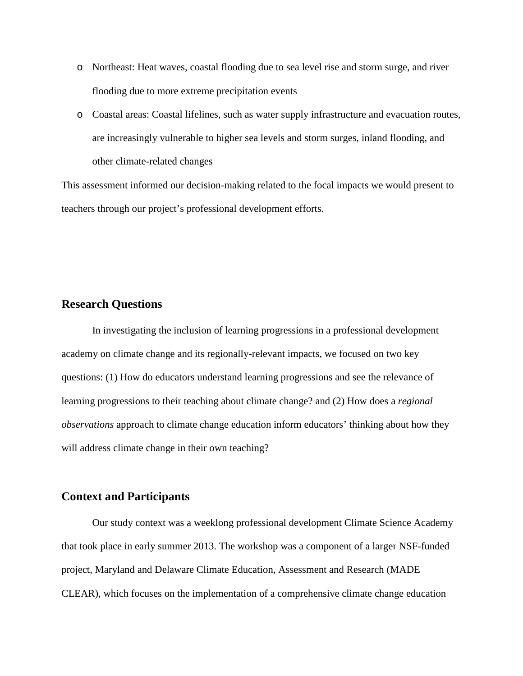- o Northeast: Heat waves, coastal flooding due to sea level rise and storm surge, and river flooding due to more extreme precipitation events
- o Coastal areas: Coastal lifelines, such as water supply infrastructure and evacuation routes, are increasingly vulnerable to higher sea levels and storm surges, inland flooding, and other climate-related changes

This assessment informed our decision-making related to the focal impacts we would present to teachers through our project's professional development efforts.

#### **Research Questions**

In investigating the inclusion of learning progressions in a professional development academy on climate change and its regionally-relevant impacts, we focused on two key questions: (1) How do educators understand learning progressions and see the relevance of learning progressions to their teaching about climate change? and (2) How does a *regional observations* approach to climate change education inform educators' thinking about how they will address climate change in their own teaching?

#### **Context and Participants**

Our study context was a weeklong professional development Climate Science Academy that took place in early summer 2013. The workshop was a component of a larger NSF-funded project, Maryland and Delaware Climate Education, Assessment and Research (MADE CLEAR), which focuses on the implementation of a comprehensive climate change education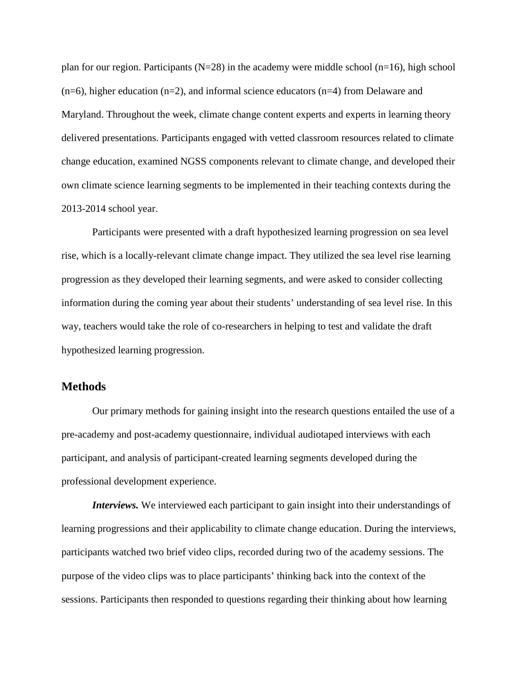plan for our region. Participants ( $N=28$ ) in the academy were middle school (n=16), high school  $(n=6)$ , higher education  $(n=2)$ , and informal science educators  $(n=4)$  from Delaware and Maryland. Throughout the week, climate change content experts and experts in learning theory delivered presentations. Participants engaged with vetted classroom resources related to climate change education, examined NGSS components relevant to climate change, and developed their own climate science learning segments to be implemented in their teaching contexts during the 2013-2014 school year.

Participants were presented with a draft hypothesized learning progression on sea level rise, which is a locally-relevant climate change impact. They utilized the sea level rise learning progression as they developed their learning segments, and were asked to consider collecting information during the coming year about their students' understanding of sea level rise. In this way, teachers would take the role of co-researchers in helping to test and validate the draft hypothesized learning progression.

#### **Methods**

Our primary methods for gaining insight into the research questions entailed the use of a pre-academy and post-academy questionnaire, individual audiotaped interviews with each participant, and analysis of participant-created learning segments developed during the professional development experience.

*Interviews.* We interviewed each participant to gain insight into their understandings of learning progressions and their applicability to climate change education. During the interviews, participants watched two brief video clips, recorded during two of the academy sessions. The purpose of the video clips was to place participants' thinking back into the context of the sessions. Participants then responded to questions regarding their thinking about how learning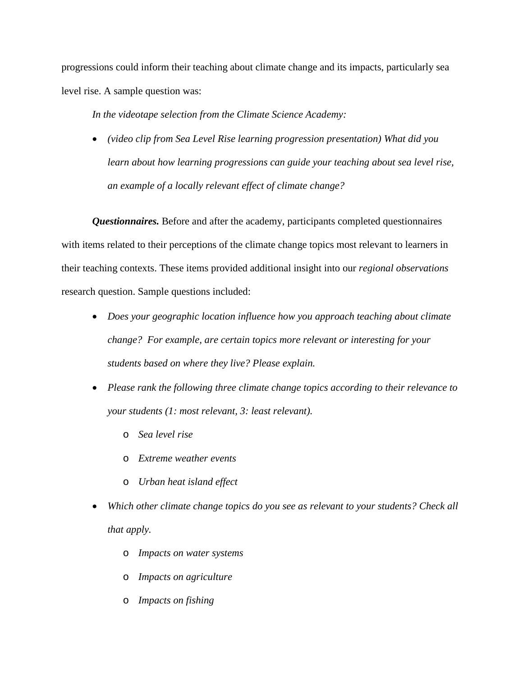progressions could inform their teaching about climate change and its impacts, particularly sea level rise. A sample question was:

*In the videotape selection from the Climate Science Academy:* 

• *(video clip from Sea Level Rise learning progression presentation) What did you*  learn about how learning progressions can guide your teaching about sea level rise, *an example of a locally relevant effect of climate change?*

*Questionnaires.* Before and after the academy, participants completed questionnaires with items related to their perceptions of the climate change topics most relevant to learners in their teaching contexts. These items provided additional insight into our *regional observations* research question. Sample questions included:

- *Does your geographic location influence how you approach teaching about climate change? For example, are certain topics more relevant or interesting for your students based on where they live? Please explain.*
- *Please rank the following three climate change topics according to their relevance to your students (1: most relevant, 3: least relevant).* 
	- o *Sea level rise*
	- o *Extreme weather events*
	- o *Urban heat island effect*
- *Which other climate change topics do you see as relevant to your students? Check all that apply.* 
	- o *Impacts on water systems*
	- o *Impacts on agriculture*
	- o *Impacts on fishing*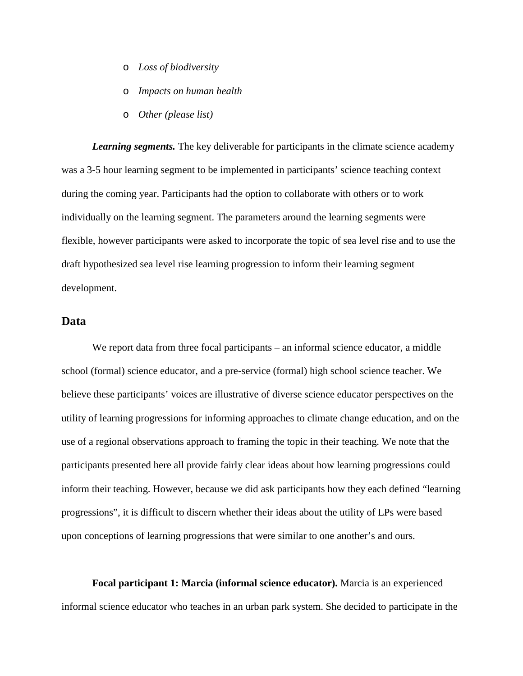- o *Loss of biodiversity*
- o *Impacts on human health*
- o *Other (please list)*

*Learning segments.* The key deliverable for participants in the climate science academy was a 3-5 hour learning segment to be implemented in participants' science teaching context during the coming year. Participants had the option to collaborate with others or to work individually on the learning segment. The parameters around the learning segments were flexible, however participants were asked to incorporate the topic of sea level rise and to use the draft hypothesized sea level rise learning progression to inform their learning segment development.

## **Data**

We report data from three focal participants – an informal science educator, a middle school (formal) science educator, and a pre-service (formal) high school science teacher. We believe these participants' voices are illustrative of diverse science educator perspectives on the utility of learning progressions for informing approaches to climate change education, and on the use of a regional observations approach to framing the topic in their teaching. We note that the participants presented here all provide fairly clear ideas about how learning progressions could inform their teaching. However, because we did ask participants how they each defined "learning progressions", it is difficult to discern whether their ideas about the utility of LPs were based upon conceptions of learning progressions that were similar to one another's and ours.

**Focal participant 1: Marcia (informal science educator).** Marcia is an experienced informal science educator who teaches in an urban park system. She decided to participate in the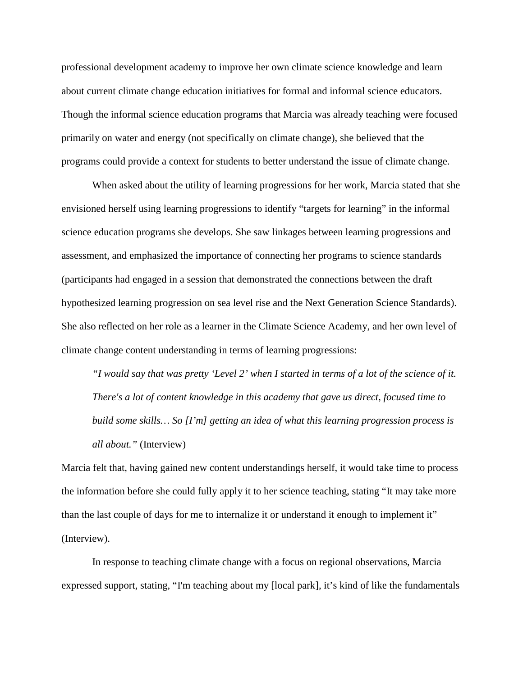professional development academy to improve her own climate science knowledge and learn about current climate change education initiatives for formal and informal science educators. Though the informal science education programs that Marcia was already teaching were focused primarily on water and energy (not specifically on climate change), she believed that the programs could provide a context for students to better understand the issue of climate change.

When asked about the utility of learning progressions for her work, Marcia stated that she envisioned herself using learning progressions to identify "targets for learning" in the informal science education programs she develops. She saw linkages between learning progressions and assessment, and emphasized the importance of connecting her programs to science standards (participants had engaged in a session that demonstrated the connections between the draft hypothesized learning progression on sea level rise and the Next Generation Science Standards). She also reflected on her role as a learner in the Climate Science Academy, and her own level of climate change content understanding in terms of learning progressions:

*"I would say that was pretty 'Level 2' when I started in terms of a lot of the science of it. There's a lot of content knowledge in this academy that gave us direct, focused time to build some skills… So [I'm] getting an idea of what this learning progression process is all about."* (Interview)

Marcia felt that, having gained new content understandings herself, it would take time to process the information before she could fully apply it to her science teaching, stating "It may take more than the last couple of days for me to internalize it or understand it enough to implement it" (Interview).

In response to teaching climate change with a focus on regional observations, Marcia expressed support, stating, "I'm teaching about my [local park], it's kind of like the fundamentals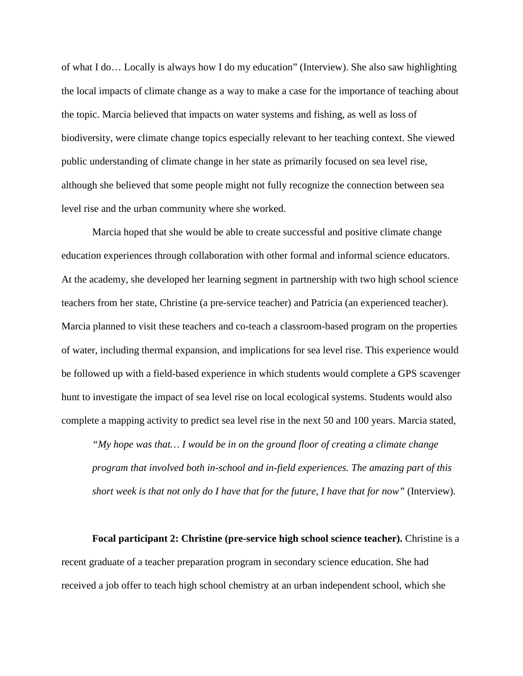of what I do… Locally is always how I do my education" (Interview). She also saw highlighting the local impacts of climate change as a way to make a case for the importance of teaching about the topic. Marcia believed that impacts on water systems and fishing, as well as loss of biodiversity, were climate change topics especially relevant to her teaching context. She viewed public understanding of climate change in her state as primarily focused on sea level rise, although she believed that some people might not fully recognize the connection between sea level rise and the urban community where she worked.

Marcia hoped that she would be able to create successful and positive climate change education experiences through collaboration with other formal and informal science educators. At the academy, she developed her learning segment in partnership with two high school science teachers from her state, Christine (a pre-service teacher) and Patricia (an experienced teacher). Marcia planned to visit these teachers and co-teach a classroom-based program on the properties of water, including thermal expansion, and implications for sea level rise. This experience would be followed up with a field-based experience in which students would complete a GPS scavenger hunt to investigate the impact of sea level rise on local ecological systems. Students would also complete a mapping activity to predict sea level rise in the next 50 and 100 years. Marcia stated,

*"My hope was that… I would be in on the ground floor of creating a climate change program that involved both in-school and in-field experiences. The amazing part of this short week is that not only do I have that for the future, I have that for now"* (Interview).

**Focal participant 2: Christine (pre-service high school science teacher).** Christine is a recent graduate of a teacher preparation program in secondary science education. She had received a job offer to teach high school chemistry at an urban independent school, which she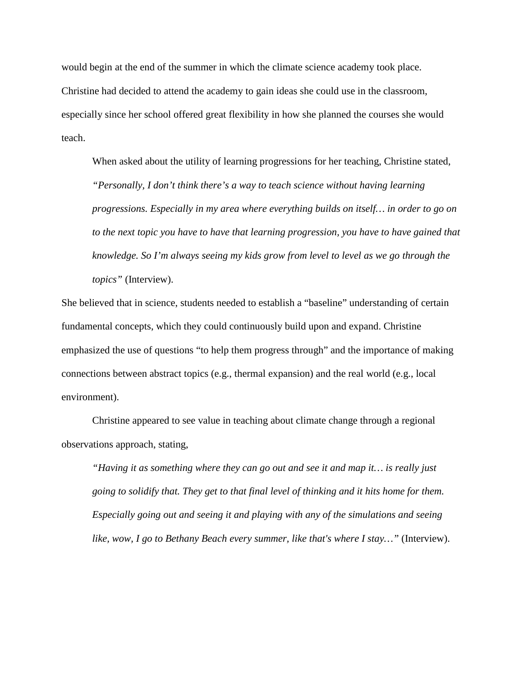would begin at the end of the summer in which the climate science academy took place. Christine had decided to attend the academy to gain ideas she could use in the classroom, especially since her school offered great flexibility in how she planned the courses she would teach.

When asked about the utility of learning progressions for her teaching, Christine stated, *"Personally, I don't think there's a way to teach science without having learning progressions. Especially in my area where everything builds on itself… in order to go on to the next topic you have to have that learning progression, you have to have gained that knowledge. So I'm always seeing my kids grow from level to level as we go through the topics"* (Interview).

She believed that in science, students needed to establish a "baseline" understanding of certain fundamental concepts, which they could continuously build upon and expand. Christine emphasized the use of questions "to help them progress through" and the importance of making connections between abstract topics (e.g., thermal expansion) and the real world (e.g., local environment).

Christine appeared to see value in teaching about climate change through a regional observations approach, stating,

*"Having it as something where they can go out and see it and map it… is really just going to solidify that. They get to that final level of thinking and it hits home for them. Especially going out and seeing it and playing with any of the simulations and seeing like, wow, I go to Bethany Beach every summer, like that's where I stay…"* (Interview).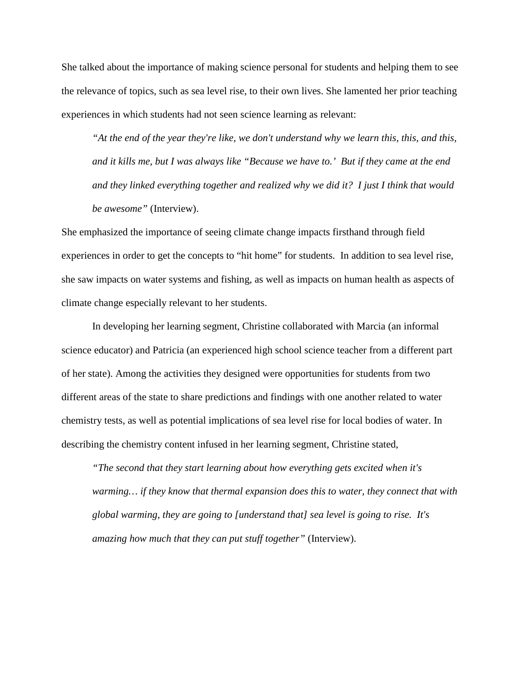She talked about the importance of making science personal for students and helping them to see the relevance of topics, such as sea level rise, to their own lives. She lamented her prior teaching experiences in which students had not seen science learning as relevant:

*"At the end of the year they're like, we don't understand why we learn this, this, and this, and it kills me, but I was always like "Because we have to.' But if they came at the end and they linked everything together and realized why we did it? I just I think that would be awesome"* (Interview).

She emphasized the importance of seeing climate change impacts firsthand through field experiences in order to get the concepts to "hit home" for students. In addition to sea level rise, she saw impacts on water systems and fishing, as well as impacts on human health as aspects of climate change especially relevant to her students.

In developing her learning segment, Christine collaborated with Marcia (an informal science educator) and Patricia (an experienced high school science teacher from a different part of her state). Among the activities they designed were opportunities for students from two different areas of the state to share predictions and findings with one another related to water chemistry tests, as well as potential implications of sea level rise for local bodies of water. In describing the chemistry content infused in her learning segment, Christine stated,

*"The second that they start learning about how everything gets excited when it's warming… if they know that thermal expansion does this to water, they connect that with global warming, they are going to [understand that] sea level is going to rise. It's amazing how much that they can put stuff together"* (Interview).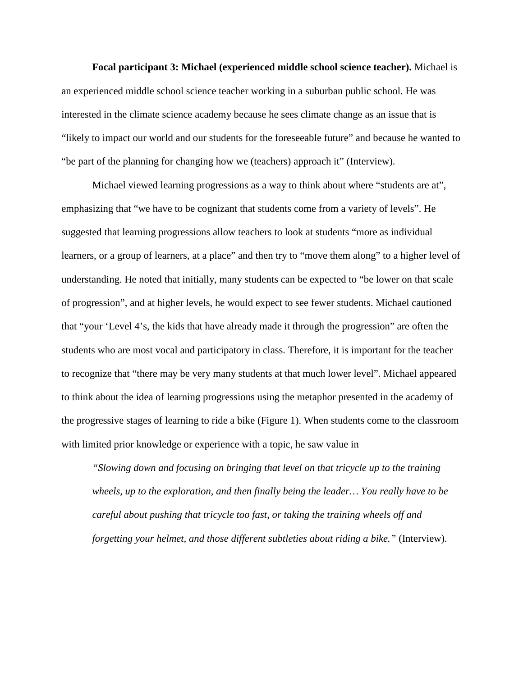**Focal participant 3: Michael (experienced middle school science teacher).** Michael is an experienced middle school science teacher working in a suburban public school. He was interested in the climate science academy because he sees climate change as an issue that is "likely to impact our world and our students for the foreseeable future" and because he wanted to "be part of the planning for changing how we (teachers) approach it" (Interview).

Michael viewed learning progressions as a way to think about where "students are at", emphasizing that "we have to be cognizant that students come from a variety of levels". He suggested that learning progressions allow teachers to look at students "more as individual learners, or a group of learners, at a place" and then try to "move them along" to a higher level of understanding. He noted that initially, many students can be expected to "be lower on that scale of progression", and at higher levels, he would expect to see fewer students. Michael cautioned that "your 'Level 4's, the kids that have already made it through the progression" are often the students who are most vocal and participatory in class. Therefore, it is important for the teacher to recognize that "there may be very many students at that much lower level". Michael appeared to think about the idea of learning progressions using the metaphor presented in the academy of the progressive stages of learning to ride a bike (Figure 1). When students come to the classroom with limited prior knowledge or experience with a topic, he saw value in

*"Slowing down and focusing on bringing that level on that tricycle up to the training wheels, up to the exploration, and then finally being the leader… You really have to be careful about pushing that tricycle too fast, or taking the training wheels off and forgetting your helmet, and those different subtleties about riding a bike."* (Interview).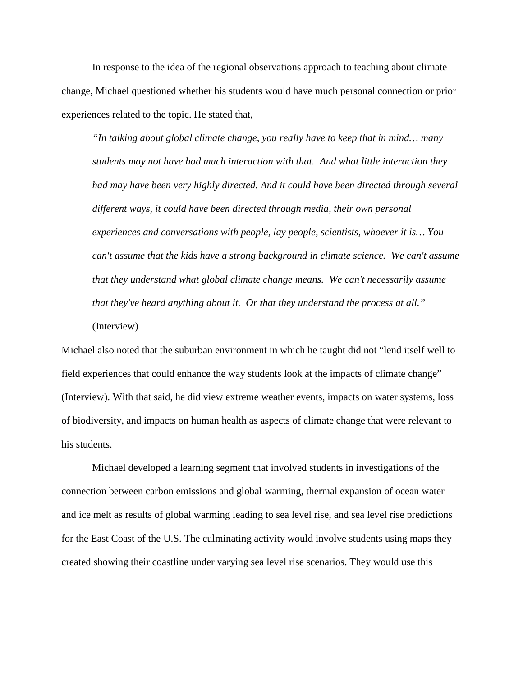In response to the idea of the regional observations approach to teaching about climate change, Michael questioned whether his students would have much personal connection or prior experiences related to the topic. He stated that,

*"In talking about global climate change, you really have to keep that in mind… many students may not have had much interaction with that. And what little interaction they had may have been very highly directed. And it could have been directed through several different ways, it could have been directed through media, their own personal experiences and conversations with people, lay people, scientists, whoever it is… You can't assume that the kids have a strong background in climate science. We can't assume that they understand what global climate change means. We can't necessarily assume that they've heard anything about it. Or that they understand the process at all."* (Interview)

Michael also noted that the suburban environment in which he taught did not "lend itself well to field experiences that could enhance the way students look at the impacts of climate change" (Interview). With that said, he did view extreme weather events, impacts on water systems, loss of biodiversity, and impacts on human health as aspects of climate change that were relevant to his students.

Michael developed a learning segment that involved students in investigations of the connection between carbon emissions and global warming, thermal expansion of ocean water and ice melt as results of global warming leading to sea level rise, and sea level rise predictions for the East Coast of the U.S. The culminating activity would involve students using maps they created showing their coastline under varying sea level rise scenarios. They would use this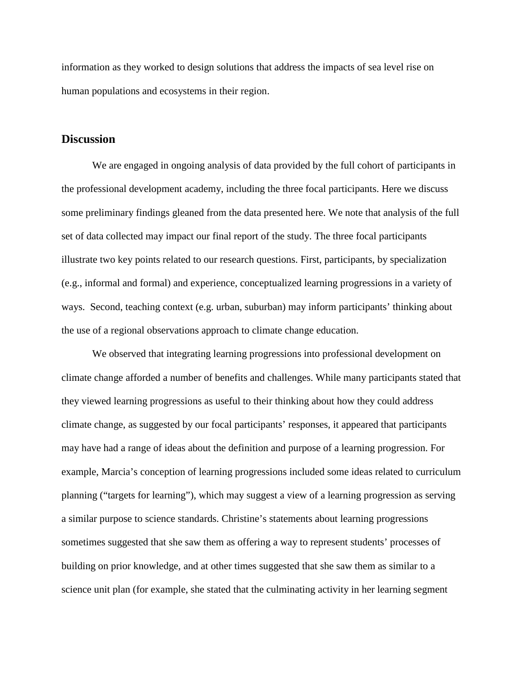information as they worked to design solutions that address the impacts of sea level rise on human populations and ecosystems in their region.

#### **Discussion**

We are engaged in ongoing analysis of data provided by the full cohort of participants in the professional development academy, including the three focal participants. Here we discuss some preliminary findings gleaned from the data presented here. We note that analysis of the full set of data collected may impact our final report of the study. The three focal participants illustrate two key points related to our research questions. First, participants, by specialization (e.g., informal and formal) and experience, conceptualized learning progressions in a variety of ways. Second, teaching context (e.g. urban, suburban) may inform participants' thinking about the use of a regional observations approach to climate change education.

We observed that integrating learning progressions into professional development on climate change afforded a number of benefits and challenges. While many participants stated that they viewed learning progressions as useful to their thinking about how they could address climate change, as suggested by our focal participants' responses, it appeared that participants may have had a range of ideas about the definition and purpose of a learning progression. For example, Marcia's conception of learning progressions included some ideas related to curriculum planning ("targets for learning"), which may suggest a view of a learning progression as serving a similar purpose to science standards. Christine's statements about learning progressions sometimes suggested that she saw them as offering a way to represent students' processes of building on prior knowledge, and at other times suggested that she saw them as similar to a science unit plan (for example, she stated that the culminating activity in her learning segment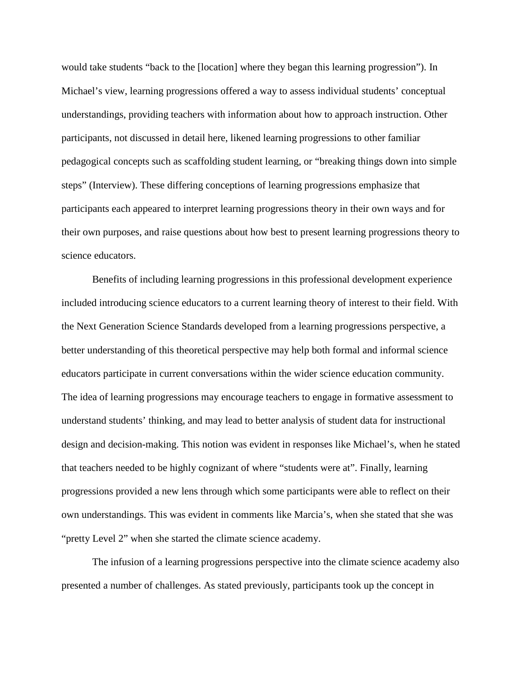would take students "back to the [location] where they began this learning progression"). In Michael's view, learning progressions offered a way to assess individual students' conceptual understandings, providing teachers with information about how to approach instruction. Other participants, not discussed in detail here, likened learning progressions to other familiar pedagogical concepts such as scaffolding student learning, or "breaking things down into simple steps" (Interview). These differing conceptions of learning progressions emphasize that participants each appeared to interpret learning progressions theory in their own ways and for their own purposes, and raise questions about how best to present learning progressions theory to science educators.

Benefits of including learning progressions in this professional development experience included introducing science educators to a current learning theory of interest to their field. With the Next Generation Science Standards developed from a learning progressions perspective, a better understanding of this theoretical perspective may help both formal and informal science educators participate in current conversations within the wider science education community. The idea of learning progressions may encourage teachers to engage in formative assessment to understand students' thinking, and may lead to better analysis of student data for instructional design and decision-making. This notion was evident in responses like Michael's, when he stated that teachers needed to be highly cognizant of where "students were at". Finally, learning progressions provided a new lens through which some participants were able to reflect on their own understandings. This was evident in comments like Marcia's, when she stated that she was "pretty Level 2" when she started the climate science academy.

The infusion of a learning progressions perspective into the climate science academy also presented a number of challenges. As stated previously, participants took up the concept in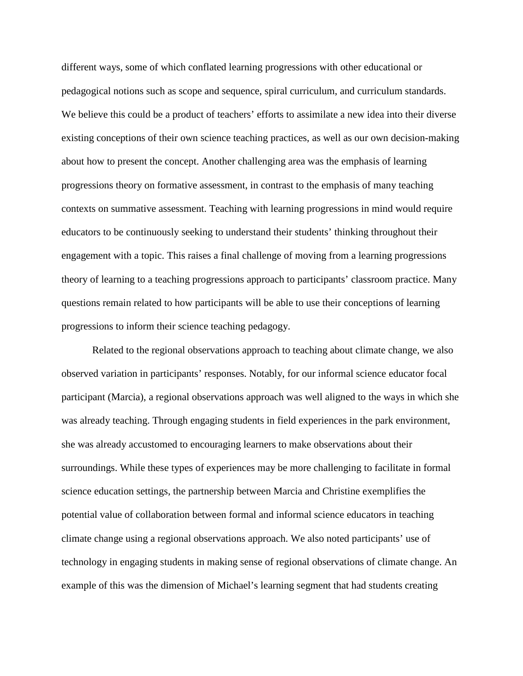different ways, some of which conflated learning progressions with other educational or pedagogical notions such as scope and sequence, spiral curriculum, and curriculum standards. We believe this could be a product of teachers' efforts to assimilate a new idea into their diverse existing conceptions of their own science teaching practices, as well as our own decision-making about how to present the concept. Another challenging area was the emphasis of learning progressions theory on formative assessment, in contrast to the emphasis of many teaching contexts on summative assessment. Teaching with learning progressions in mind would require educators to be continuously seeking to understand their students' thinking throughout their engagement with a topic. This raises a final challenge of moving from a learning progressions theory of learning to a teaching progressions approach to participants' classroom practice. Many questions remain related to how participants will be able to use their conceptions of learning progressions to inform their science teaching pedagogy.

Related to the regional observations approach to teaching about climate change, we also observed variation in participants' responses. Notably, for our informal science educator focal participant (Marcia), a regional observations approach was well aligned to the ways in which she was already teaching. Through engaging students in field experiences in the park environment, she was already accustomed to encouraging learners to make observations about their surroundings. While these types of experiences may be more challenging to facilitate in formal science education settings, the partnership between Marcia and Christine exemplifies the potential value of collaboration between formal and informal science educators in teaching climate change using a regional observations approach. We also noted participants' use of technology in engaging students in making sense of regional observations of climate change. An example of this was the dimension of Michael's learning segment that had students creating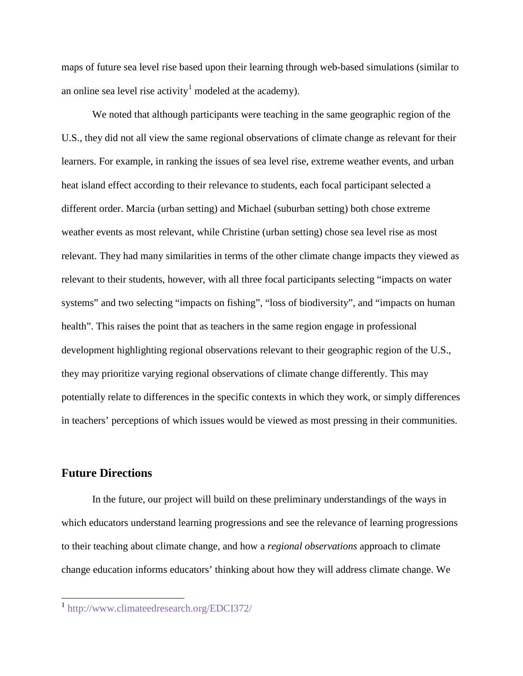maps of future sea level rise based upon their learning through web-based simulations (similar to an online sea level rise activity<sup>[1](#page-16-0)</sup> modeled at the academy).

We noted that although participants were teaching in the same geographic region of the U.S., they did not all view the same regional observations of climate change as relevant for their learners. For example, in ranking the issues of sea level rise, extreme weather events, and urban heat island effect according to their relevance to students, each focal participant selected a different order. Marcia (urban setting) and Michael (suburban setting) both chose extreme weather events as most relevant, while Christine (urban setting) chose sea level rise as most relevant. They had many similarities in terms of the other climate change impacts they viewed as relevant to their students, however, with all three focal participants selecting "impacts on water systems" and two selecting "impacts on fishing", "loss of biodiversity", and "impacts on human health". This raises the point that as teachers in the same region engage in professional development highlighting regional observations relevant to their geographic region of the U.S., they may prioritize varying regional observations of climate change differently. This may potentially relate to differences in the specific contexts in which they work, or simply differences in teachers' perceptions of which issues would be viewed as most pressing in their communities.

## **Future Directions**

In the future, our project will build on these preliminary understandings of the ways in which educators understand learning progressions and see the relevance of learning progressions to their teaching about climate change, and how a *regional observations* approach to climate change education informs educators' thinking about how they will address climate change. We

<span id="page-16-0"></span><sup>1</sup> <http://www.climateedresearch.org/EDCI372/>